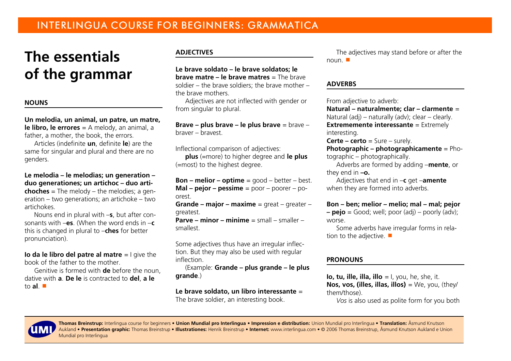# **The essentialsof the grammar**

### **NOUNS**

**Un melodia, un animal, un patre, un matre,le libro, le errores** = A melody, an animal, afather, a mother, the book, the errors.

Articles (indefinite **un**, definite **le**) are the same for singular and plural and there are nogenders.

**Le melodia – le melodias; un generation – duo generationes; un artichoc – duo artichoches** = The melody – the melodies; a generation – two generations; an artichoke – twoartichokes.

 Nouns end in plural with –**<sup>s</sup>**, but after consonants with –**es**. (When the word ends in –**c**this is changed in plural to –**ches** for betterpronunciation).

**Io da le libro del patre al matre** = I give the book of the father to the mother.

 Genitive is formed with **de** before the noun,dative with **<sup>a</sup>**. **De le** is contracted to **del**, **a le**to **al**. #

# **ADJECTIVES**

**Le brave soldato – le brave soldatos; le brave matre – le brave matres** = The brave soldier – the brave soldiers; the brave mother –the brave mothers.

 Adjectives are not inflected with gender orfrom singular to plural.

**Brave – plus brave – le plus brave** = brave –braver – bravest.

Inflectional comparison of adjectives:

 **plus** (=more) to higher degree and **le plus**(=most) to the highest degree.

**Bon – melior – optime** = good – better – best. **Mal – pejor – pessime** = poor – poorer – poorest.

 **Grande – major – maxime** = great – greater –greatest.

 **Parve – minor – minime** = small – smaller –smallest.

Some adjectives thus have an irregular inflection. But they may also be used with regularinflection.

 (Example: **Grande – plus grande – le plusgrande**.)

# **Le brave soldato, un libro interessante** <sup>=</sup>

The brave soldier, an interesting book.

The adjectives may stand before or after thenoun. ■

### **ADVERBS**

From adjective to adverb:

 **Natural – naturalmente; clar – clarmente** <sup>=</sup>Natural (adj) – naturally (adv); clear – clearly.**Extrememente interessante** = Extremely interesting.

**Certe – certo** = Sure – surely.

 **Photographic – photographicamente** = Photographic – photographically.

 Adverbs are formed by adding –**mente**, orthey end in **–o.**

 Adjectives that end in –**c** get –**amente**when they are formed into adverbs.

**Bon – ben; melior – melio; mal – mal; pejor**

 **– pejo** = Good; well; poor (adj) – poorly (adv);worse.

 Some adverbs have irregular forms in relation to the adjective.  $\blacksquare$ 

### **PRONOUNS**

**Io, tu, ille, illa, illo** = I, you, he, she, it. **Nos, vos, (illes, illas, illos)** = We, you, (they/them/those).

*Vos* is also used as polite form for you both



**Thomas Breinstrup:** Interlingua course for beginners • **Union Mundial pro Interlingua** • **Impression e distribution:** Union Mundial pro Interlingua • **Translation:** Åsmund Knutson Aukland • **Presentation graphic:** Thomas Breinstrup • **Illustrationes:** Henrik Breinstrup • **Internet:** www.interlingua.com • © 2006 Thomas Breinstrup, Åsmund Knutson Aukland e UnionMundial pro Interlingua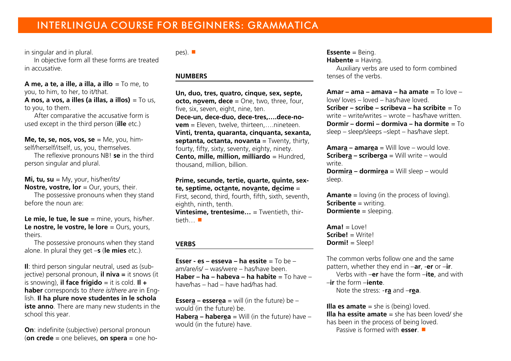# INTERLINGUA COURSE FOR BEGINNERS: GRAMMATICA

in singular and in plural.

 In objective form all these forms are treatedin accusative.

**A me, a te, a ille, a illa, a illo** = To me, toyou, to him, to her, to it/that. **A nos, a vos, a illes (a illas, a illos)** = To us,to you, to them.

 After comparative the accusative form isused except in the third person (**ille** etc.)

**Me, te, se, nos, vos, se** = Me, you, himself/herself/itself, us, you, themselves.

 The reflexive pronouns NB! **se** in the thirdperson singular and plural.

**Mi, tu, su** = My, your, his/her/its/ **Nostre, vostre, lor** = Our, yours, their.

 The possessive pronouns when they standbefore the noun are:

**Le mie, le tue, le sue** = mine, yours, his/her. **Le nostre, le vostre, le lore** = Ours, yours, theirs.

 The possessive pronouns when they standalone. In plural they get –**s** (**le mies** etc.).

**Il**: third person singular neutral, used as (subjective) personal pronoun, **il niva =** it snows (itis snowing), **il face frigido** = it is cold. **Il + haber** corresponds to *there is/there are* in English. **Il ha plure nove studentes in le schola iste anno***.* There are many new students in theschool this year.

**On**: indefinite (subjective) personal pronoun (**on crede** = one believes, **on spera** = one hopes).  $\blacksquare$ 

#### **NUMBERS**

**Un, duo, tres, quatro, cinque, sex, septe,octo, novem, dece** = One, two, three, four, five, six, seven, eight, nine, ten. **Dece-un, dece-duo, dece-tres,….dece-novem** = Eleven, twelve, thirteen,....nineteen. **Vinti, trenta, quaranta, cinquanta, sexanta, septanta, octanta, novanta** = Twenty, thirty,fourty, fifty, sixty, seventy, eighty, ninety. **Cento, mille, million, milliardo** = Hundred,thousand, million, billion.

**Prime, secunde, tertie, quarte, quinte, sexte, septime, octante, novante, decime** <sup>=</sup> First, second, third, fourth, fifth, sixth, seventh,eighth, ninth, tenth.

 **Vintesime, trentesime…** = Twentieth, thirtieth $\ldots$   $\blacksquare$ 

### **VERBS**

**Esser - es – esseva – ha essite** = To be –am/are/is/ – was/were – has/have been. **Haber – ha – habeva – ha habite** = To have –have/has – had – have had/has had.

**Essera – essere<sup>a</sup>** = will (in the future) be – would (in the future) be. **Habera – habere<sup>a</sup>** = Will (in the future) have –would (in the future) have.

**Essente** = Being.

**Habente** = Having.

 Auxiliary verbs are used to form combinedtenses of the verbs.

**Amar – ama – amava – ha amate** = To love –love/ loves – loved – has/have loved. **Scriber – scribe – scribeva – ha scribite** = To write – write/writes – wrote – has/have written. **Dormir – dormi – dormiva – ha dormite** = Tosleep – sleep/sleeps –slept – has/have slept.

**Amara – amarea** = Will love – would love. **Scribera – scriberea** = Will write – would write. **Dormira – dormire<sup>a</sup>** = Will sleep – would sleep.

**Amante** = loving (in the process of loving).**Scribente** = writing. **Dormiente** = sleeping.

 $A$ ma $I = |$ <sub>OVe</sub> $|$  **Scribe!** = Write!**Dormi!** = Sleep!

The common verbs follow one and the same pattern, whether they end in –**ar**, -**er** or –**ir**.Verbs with –**er** have the form –**ite**, and with

–**ir** the form –**iente**.

Note the stress: -**ra** and –**rea**.

**Illa es amate** = she is (being) loved. **Illa ha essite amate** = she has been loved/ she has been in the process of being loved.Passive is formed with **esser**.